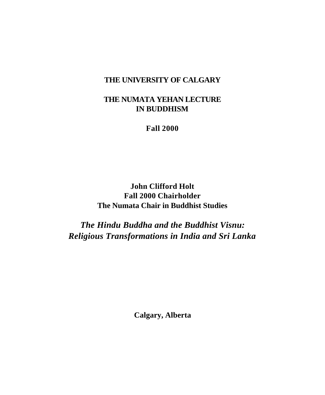### **THE UNIVERSITY OF CALGARY**

## **THE NUMATA YEHAN LECTURE IN BUDDHISM**

**Fall 2000**

**John Clifford Holt Fall 2000 Chairholder The Numata Chair in Buddhist Studies**

*The Hindu Buddha and the Buddhist Visnu: Religious Transformations in India and Sri Lanka*

**Calgary, Alberta**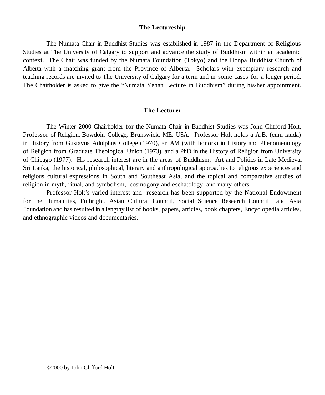### **The Lectureship**

The Numata Chair in Buddhist Studies was established in 1987 in the Department of Religious Studies at The University of Calgary to support and advance the study of Buddhism within an academic context. The Chair was funded by the Numata Foundation (Tokyo) and the Honpa Buddhist Church of Alberta with a matching grant from the Province of Alberta. Scholars with exemplary research and teaching records are invited to The University of Calgary for a term and in some cases for a longer period. The Chairholder is asked to give the "Numata Yehan Lecture in Buddhism" during his/her appointment.

### **The Lecturer**

The Winter 2000 Chairholder for the Numata Chair in Buddhist Studies was John Clifford Holt, Professor of Religion, Bowdoin College, Brunswick, ME, USA. Professor Holt holds a A.B. (cum lauda) in History from Gustavus Adolphus College (1970), an AM (with honors) in History and Phenomenology of Religion from Graduate Theological Union (1973), and a PhD in the History of Religion from University of Chicago (1977). His research interest are in the areas of Buddhism, Art and Politics in Late Medieval Sri Lanka, the historical, philosophical, literary and anthropological approaches to religious experiences and religious cultural expressions in South and Southeast Asia, and the topical and comparative studies of religion in myth, ritual, and symbolism, cosmogony and eschatology, and many others.

Professor Holt's varied interest and research has been supported by the National Endowment for the Humanities, Fulbright, Asian Cultural Council, Social Science Research Council and Asia Foundation and has resulted in a lengthy list of books, papers, articles, book chapters, Encyclopedia articles, and ethnographic videos and documentaries.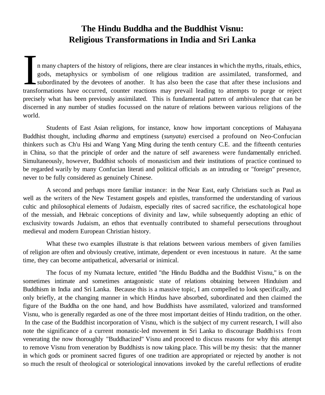# **The Hindu Buddha and the Buddhist Visnu: Religious Transformations in India and Sri Lanka**

It is many chapters of the history of religions, there are clear instances in which the myths, rituals, ethics, gods, metaphysics or symbolism of one religious tradition are assimilated, transformed, and subordinated by th n many chapters of the history of religions, there are clear instances in which the myths, rituals, ethics, gods, metaphysics or symbolism of one religious tradition are assimilated, transformed, and subordinated by the devotees of another. It has also been the case that after these inclusions and precisely what has been previously assimilated. This is fundamental pattern of ambivalence that can be discerned in any number of studies focussed on the nature of relations between various religions of the world.

Students of East Asian religions, for instance, know how important conceptions of Mahayana Buddhist thought, including *dharma* and emptiness (*sunyata*) exercised a profound on Neo-Confucian thinkers such as Ch'u Hsi and Wang Yang Ming during the tenth century C.E. and the fifteenth centuries in China, so that the principle of order and the nature of self awareness were fundamentally enriched. Simultaneously, however, Buddhist schools of monasticism and their institutions of practice continued to be regarded warily by many Confucian literati and political officials as an intruding or "foreign" presence, never to be fully considered as genuinely Chinese.

A second and perhaps more familiar instance: in the Near East, early Christians such as Paul as well as the writers of the New Testament gospels and epistles, transformed the understanding of various cultic and philosophical elements of Judaism, especially rites of sacred sacrifice, the eschatological hope of the messiah, and Hebraic conceptions of divinity and law, while subsequently adopting an ethic of exclusivity towards Judaism, an ethos that eventually contributed to shameful persecutions throughout medieval and modern European Christian history.

What these two examples illustrate is that relations between various members of given families of religion are often and obviously creative, intimate, dependent or even incestuous in nature. At the same time, they can become antipathetical, adversarial or inimical.

The focus of my Numata lecture, entitled "the Hindu Buddha and the Buddhist Visnu," is on the sometimes intimate and sometimes antagonistic state of relations obtaining between Hinduism and Buddhism in India and Sri Lanka. Because this is a massive topic, I am compelled to look specifically, and only briefly, at the changing manner in which Hindus have absorbed, subordinated and then claimed the figure of the Buddha on the one hand, and how Buddhists have assmilated, valorized and transformed Visnu, who is generally regarded as one of the three most important deities of Hindu tradition, on the other. In the case of the Buddhist incorporation of Visnu, which is the subject of my current research, I will also note the significance of a current monastic-led movement in Sri Lanka to discourage Buddhists from venerating the now thoroughly "Buddhacized" Visnu and proceed to discuss reasons for why this attempt to remove Visnu from veneration by Buddhists is now taking place. This will be my thesis: that the manner in which gods or prominent sacred figures of one tradition are appropriated or rejected by another is not so much the result of theological or soteriological innovations invoked by the careful reflections of erudite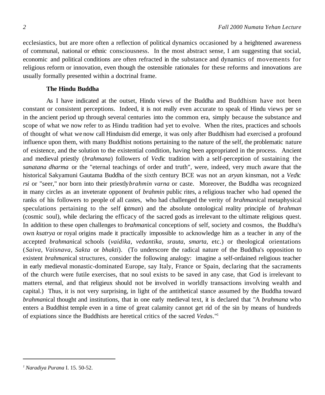ecclesiastics, but are more often a reflection of political dynamics occasioned by a heightened awareness of communal, national or ethnic consciousness. In the most abstract sense, I am suggesting that social, economic and political conditions are often refracted in the substance and dynamics of movements for religious reform or innovation, even though the ostensible rationales for these reforms and innovations are usually formally presented within a doctrinal frame.

### **The Hindu Buddha**

As I have indicated at the outset, Hindu views of the Buddha and Buddhism have not been constant or consistent perceptions. Indeed, it is not really even accurate to speak of Hindu views per se in the ancient period up through several centuries into the common era, simply because the substance and scope of what we now refer to as Hindu tradition had yet to evolve. When the rites, practices and schools of thought of what we now call Hinduism did emerge, it was only after Buddhism had exercised a profound influence upon them, with many Buddhist notions pertaining to the nature of the self, the problematic nature of existence, and the solution to the existential condition, having been appropriated in the process. Ancient and medieval priestly (*brahmana*) followers of *Ved*ic tradition with a self-perception of sustaining the *sanatana dharma* or the "eternal teachings of order and truth", were, indeed, very much aware that the historical Sakyamuni Gautama Buddha of the sixth century BCE was not an *arya*n kinsman, not a *Ved*ic *rsi* or "seer," nor born into their priestly*brahmin varna* or caste. Moreover, the Buddha was recognized in many circles as an inveterate opponent of *brahmin* public rites, a religious teacher who had opened the ranks of his followers to people of all castes, who had challenged the verity of *brahmani*cal metaphysical speculations pertaining to the self (*atman*) and the absolute ontological reality principle of *brahman* (cosmic soul), while declaring the efficacy of the sacred gods as irrelevant to the ultimate religious quest. In addition to these open challenges to *brahman*ical conceptions of self, society and cosmos, the Buddha's own *ksatrya* or royal origins made it practically impossible to acknowledge him as a teacher in any of the accepted *brahman*ical schools (*vaidika, vedantika, srauta, smarta,* etc.) or theological orientations (*Saiva, Vaisnava, Sakta* or *bhakti*). (To underscore the radical nature of the Buddha's opposition to existent *brahman*ical structures, consider the following analogy: imagine a self-ordained religious teacher in early medieval monastic-dominated Europe, say Italy, France or Spain, declaring that the sacraments of the church were futile exercises, that no soul exists to be saved in any case, that God is irrelevant to matters eternal, and that religieux should not be involved in worldly transactions involving wealth and capital.) Thus, it is not very surprising, in light of the antithetical stance assumed by the Buddha toward *brahman*ical thought and institutions, that in one early medieval text, it is declared that "A *brahmana* who enters a Buddhist temple even in a time of great calamity cannot get rid of the sin by means of hundreds of expiations since the Buddhists are heretical critics of the sacred *Veda*s."1

*<sup>1</sup>Naradiya Purana* I. 15. 50-52.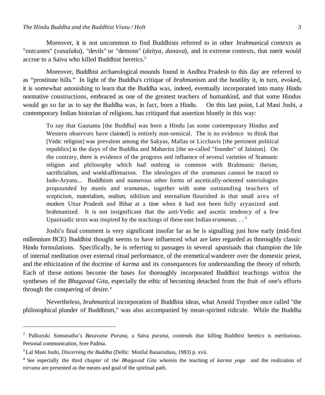Moreover, it is not uncommon to find Buddhists referred to in other *brahman*ical contexts as "outcastes" (*vasalaka*), "devils" or "demons" (*daitya, danava*), and in extreme contexts, that merit would accrue to a Saiva who killed Buddhist heretics.<sup>2</sup>

Moreover, Buddhist archaeological mounds found in Andhra Pradesh to this day are referred to as "prostitute hills." In light of the Buddha's critique of *brahman*ism and the hostility it, in turn, evoked, it is somewhat astonishing to learn that the Buddha was, indeed, eventually incorporated into many Hindu normative constructions, embraced as one of the greatest teachers of humankind, and that some Hindus would go so far as to say the Buddha was, in fact, born a Hindu. On this last point, Lal Mani Joshi, a contemporary Indian historian of religions, has critiqued that assertion bluntly in this way:

To say that Gautama [the Buddha] was born a Hindu [as some contemporary Hindus and Western observors have claimed] is entirely non-sensical. The is no evidence to think that [Vedic religion] was prevalent among the Sakyas, Mallas or Licchavis [the pertinent political republics] in the days of the Buddha and Mahavira [the so-called "founder" of Jainism]. On the contrary, there is evidence of the progress and influence of several varieties of Sramanic religion and philosophy which had nothing in common with Brahmanic theism, sacrificialism, and world-affirmation. The ideologies of the *sramana*s cannot be traced to Indo-Aryans... Buddhism and numerous other forms of ascetically-oriented soteriologies propounded by *muni*s and *sramana*s, together with some outstanding teachers of scepticism, materialism, realism, nihilism and eternalism flourished in that small area of modern Uttar Pradesh and Bihar at a time when it had not been fully aryanized and brahmanized. It is not insignificant that the anti-Vedic and ascetic tendency of a few Upanisadic texts was inspired by the teachings of these east Indian *sramana*s. . . <sup>3</sup>

Joshi's final comment is very significant insofar far as he is signalling just how early (mid-first millennium BCE) Buddhist thought seems to have influenced what are later regarded as thoroughly classic Hindu formulations. Specifically, he is referring to passages in several *upanisad*s that champion the life of internal meditation over external ritual performance, of the eremeticalwanderer over the domestic priest, and the ethicization of the doctrine of *karma* and its consequences for understanding the theory of rebirth*.* Each of these notions become the bases for thoroughly incorporated Buddhist teachings within the syntheses of the *Bhagavad Gita*, especially the ethic of becoming detached from the fruit of one's efforts through the conquering of desire.<sup>4</sup>

Nevertheless, *brahman*ical incorporation of Buddhist ideas, what Arnold Toynbee once called "the philosophical plunder of Buddhism," was also accompanied by mean-spirited ridicule. While the Buddha

<sup>2</sup> Palkuruki Somanatha's *Basavana Purana*, a Saiva *purana*, contends that killing Buddhist heretics is meritorious. Personal communication, Sree Padma.

<sup>3</sup> Lal Mani Joshi, *Discerning the Buddha* (Delhi: Motilal Banarsidass, 1983) p. xvii.

<sup>4</sup> See especially the third chapter of the *Bhagavad Gita* wherein the teaching of *karma yoga* and the realization of *nirvana* are presented as the means and goal of the spiritual path.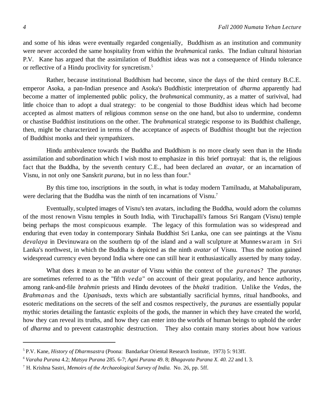and some of his ideas were eventually regarded congenially, Buddhism as an institution and community were never accorded the same hospitality from within the *brahman*ical ranks. The Indian cultural historian P.V. Kane has argued that the assimilation of Buddhist ideas was not a consequence of Hindu tolerance or reflective of a Hindu proclivity for syncretism.<sup>5</sup>

Rather, because institutional Buddhism had become, since the days of the third century B.C.E. emperor Asoka, a pan-Indian presence and Asoka's Buddhistic interpretation of *dharma* apparently had become a matter of implemented public policy, the *brahman*ical community, as a matter of surivival, had little choice than to adopt a dual strategy: to be congenial to those Buddhist ideas which had become accepted as almost matters of religious common sense on the one hand, but also to undermine, condemn or chastise Buddhist institutions on the other. The *brahman*ical strategic response to its Buddhist challenge, then, might be characterized in terms of the acceptance of aspects of Buddhist thought but the rejection of Buddhist monks and their sympathizers.

Hindu ambivalence towards the Buddha and Buddhism is no more clearly seen than in the Hindu assimilation and subordination which I wish most to emphasize in this brief portrayal: that is, the religious fact that the Buddha, by the seventh century C.E., had been declared an *avatar,* or an incarnation of Visnu, in not only one Sanskrit *purana,* but in no less than four.<sup>6</sup>

By this time too, inscriptions in the south, in what is today modern Tamilnadu, at Mahabalipuram, were declaring that the Buddha was the ninth of ten incarnations of Visnu.<sup>7</sup>

Eventually, sculpted images of Visnu's ten avatars, including the Buddha, would adorn the columns of the most renown Visnu temples in South India, with Tiruchapalli's famous Sri Rangam (Visnu) temple being perhaps the most conspicuous example. The legacy of this formulation was so widespread and enduring that even today in contemporary Sinhala Buddhist Sri Lanka, one can see paintings at the Visnu *devalaya* in Devinuwara on the southern tip of the island and a wall sculpture at Munneswaram in Sri Lanka's northwest, in which the Buddha is depicted as the ninth *avatar* of Visnu. Thus the notion gained widespread currency even beyond India where one can still hear it enthusiastically asserted by many today.

What does it mean to be an *avatar* of Visnu within the context of the *purana*s? The *purana*s are sometimes referred to as the "fifth *veda*" on account of their great popularity, and hence authority, among rank-and-file *brahmin* priests and Hindu devotees of the *bhakti* tradition. Unlike the *Veda*s, the *Brahmana*s and the *Upanisad*s, texts which are substantially sacrificial hymns, ritual handbooks, and esoteric meditations on the secrets of the self and cosmos respectively, the *purana*s are essentially popular mythic stories detailing the fantastic exploits of the gods, the manner in which they have created the world, how they can reveal its truths, and how they can enter into the worlds of human beings to uphold the order of *dharma* and to prevent catastrophic destruction. They also contain many stories about how various

<sup>5</sup>P.V. Kane, *History of Dharmsastra* (Poona: Bandarkar Oriental Research Institute, 1973) 5: 913ff.

*<sup>6</sup>Varaha Purana* 4.2; *Matsya Purana* 285. 6-7; *Agni Purana* 49. 8; *Bhagavata Purana X. 40. 22* and I. 3.

<sup>7</sup> H. Krishna Sastri, *Memoirs of the Archaeological Survey of India.* No. 26, pp. 5ff.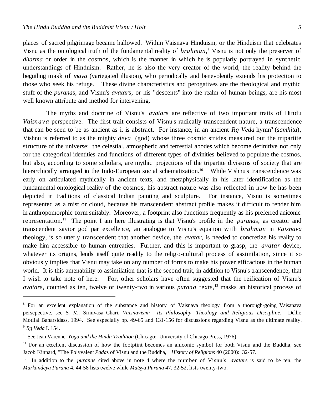places of sacred pilgrimage became hallowed. Within Vaisnava Hinduism, or the Hinduism that celebrates Visnu as the ontological truth of the fundamental reality of *brahman*, <sup>8</sup> Visnu is not only the preserver of *dharma* or order in the cosmos, which is the manner in which he is popularly portrayed in synthetic understandings of Hinduism. Rather, he is also the very creator of the world, the reality behind the beguiling mask of *maya* (variegated illusion), who periodically and benevolently extends his protection to those who seek his refuge. These divine characteristics and perogatives are the theological and mythic stuff of the *purana*s, and Visnu's *avatar*s, or his "descents" into the realm of human beings, are his most well known attribute and method for intervening.

The myths and doctrine of Visnu's *avatar*s are reflective of two important traits of Hindu *Vaisnava* perspective. The first trait consists of Visnu's radically transcendent nature, a transcendence that can be seen to be as ancient as it is abstract. For instance, in an ancient  $Rg$  *Veda* hymn<sup>9</sup> (*samhita*), Vishnu is referred to as the mighty *deva* (god) whose three cosmic strides measured out the tripartite structure of the universe: the celestial, atmospheric and terrestial abodes which become definitive not only for the categorical identities and functions of different types of divinities believed to populate the cosmos, but also, according to some scholars, are mythic projections of the tripartite divisions of society that are hierarchically arranged in the Indo-European social schematization.<sup>10</sup> While Vishnu's transcendence was early on articulated mythically in ancient texts, and metaphysically in his later identification as the fundamental ontological reality of the cosmos, his abstract nature was also reflected in how he has been depicted in traditions of classical Indian painting and sculpture. For instance, Visnu is sometimes represented as a mist or cloud, because his transcendent abstract profile makes it difficult to render him in anthropomorphic form suitably. Moreover, a footprint also functions frequently as his preferred aniconic representation.<sup>11</sup> The point I am here illustrating is that Visnu's profile in the *purana*s, as creator and transcendent savior god par excellence, an analogue to Visnu's equation with *brahman* in *Vaisnava* theology, is so utterly transcendent that another device, the *avatar*, is needed to concretize his reality to make him accessible to human entreaties. Further, and this is important to grasp, the *avatar* device, whatever its origins, lends itself quite readily to the religio-cultural process of assimilation, since it so obviously implies that Visnu may take on any number of forms to make his power efficacious in the human world. It is this amenability to assimilation that is the second trait, in addition to Visnu's transcendence, that I wish to take note of here. For, other scholars have often suggested that the reification of Visnu's *avatars*, counted as ten, twelve or twenty-two in various *purana* texts,<sup>12</sup> masks an historical process of

<sup>8</sup> For an excellent explanation of the substance and history of Vaisnava theology from a thorough-going Vaisanava persepective, see S. M. Srinivasa Chari, *Vaisnavism: Its Philosophy, Theology and Religious Discipline.* Delhi: Motilal Banarsidass, 1994. See especially pp. 49-65 and 131-156 for discussions regarding Visnu as the ultimate reality. *9 Rg Veda* I. 154.

<sup>&</sup>lt;sup>10</sup> See Jean Varenne, *Yoga and the Hindu Tradition* (Chicago: University of Chicago Press, 1976).

<sup>&</sup>lt;sup>11</sup> For an excellent discussion of how the footptint becomes an aniconic symbol for both Visnu and the Buddha, see Jacob Kinnard, "The Polyvalent *Pada*s of Visnu and the Buddha," *History of Religions* 40 (2000): 32-57.

<sup>12</sup> In addition to the *purana*s cited above in note 4 where the number of Visnu's *avatar*s is said to be ten, the *Markandeya Purana* 4. 44-58 lists twelve while *Matsya Purana* 47. 32-52, lists twenty-two.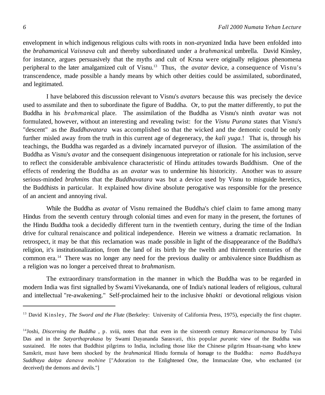envelopment in which indigenous religious cults with roots in non-*arya*nized India have been enfolded into the *brahaman*ical *Vaisnava* cult and thereby subordinated under a *brahman*ical umbrella. David Kinsley, for instance, argues persuasively that the myths and cult of Krsna were originally religious phenomena peripheral to the later amalgamized cult of Visnu.<sup>13</sup> Thus, the *avatar* device, a consequence of Visnu's transcendence, made possible a handy means by which other deities could be assimilated, subordinated, and legitimated.

I have belabored this discussion relevant to Visnu's *avatar*s because this was precisely the device used to assmilate and then to subordinate the figure of Buddha. Or, to put the matter differently, to put the Buddha in his *brahman*ical place. The assimilation of the Buddha as Visnu's ninth *avatar* was not formulated, however, without an interesting and revealing twist: for the *Visnu Purana* states that Visnu's "descent" as the *Buddhavatara* was accomplished so that the wicked and the demonic could be only further misled away from the truth in this current age of degeneracy, the *kali yuga.*! That is, through his teachings, the Buddha was regarded as a divinely incarnated purveyor of illusion. The assimilation of the Buddha as Visnu's *avatar* and the consequent disingenuous intepretation or rationale for his inclusion, serve to reflect the considerable ambivalence characteristic of Hindu attitudes towards Buddhism. One of the effects of rendering the Buddha as an *avatar* was to undermine his historicity. Another was to assure serious-minded *brahmin*s that the *Buddhavatara* was but a device used by Visnu to misguide heretics, the Buddhists in particular. It explained how divine absolute perogative was responsible for the presence of an ancient and annoying rival.

While the Buddha as *avatar* of Visnu remained the Buddha's chief claim to fame among many Hindus from the seventh century through colonial times and even for many in the present, the fortunes of the Hindu Buddha took a decidedly different turn in the twentieth century, during the time of the Indian drive for cultural renaiscance and political independence. Herein we witness a dramatic reclamation. In retrospect, it may be that this reclamation was made possible in light of the disappearance of the Buddha's religion, it's institutionalization, from the land of its birth by the twelth and thirteenth centuries of the common era. <sup>14</sup> There was no longer any need for the previous duality or ambivalence since Buddhism as a religion was no longer a perceived threat to *brahman*ism.

The extraordinary transformation in the manner in which the Buddha was to be regarded in modern India was first signalled by Swami Vivekananda, one of India's national leaders of religious, cultural and intellectual "re-awakening." Self-proclaimed heir to the inclusive *bhakti* or devotional religious vision

<sup>13</sup> David Kinsley, *The Sword and the Flute* (Berkeley: University of California Press, 1975), especially the first chapter.

<sup>14</sup>Joshi, *Discerning the Buddha* , p. xviii, notes that that even in the sixteenth century *Ramacaritamanasa* by Tulsi Das and in the *Satyarthaprakasa* by Swami Dayananda Sarasvati, this popular *puran*ic view of the Buddha was sustained. He notes that Buddhist pilgrims to India, including those like the Chinese pilgrim Hsuan-tsang who knew Sanskrit, must have been shocked by the *brahman*ical Hindu formula of homage to the Buddha: *namo Buddhaya Suddhaya daitya danava mohine* ["Adoration to the Enlightened One, the Immaculate One, who enchanted (or deceived) the demons and devils."]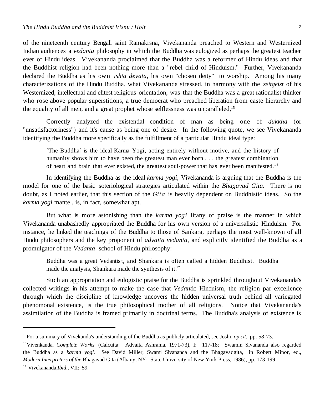of the nineteenth century Bengali saint Ramakrsna, Vivekananda preached to Western and Westernized Indian audiences a *vedanta* philosophy in which the Buddha was eulogized as perhaps the greatest teacher ever of Hindu ideas. Vivekananda proclaimed that the Buddha was a reformer of Hindu ideas and that the Buddhist religion had been nothing more than a "rebel child of Hinduism." Further, Vivekananda declared the Buddha as his own *ishta devata,* his own "chosen deity" to worship. Among his many characterizations of the Hindu Buddha, what Vivekananda stressed, in harmony with the *zeitgeist* of his Westernized, intellectual and elitest religious orientation, was that the Buddha was a great rationalist thinker who rose above popular superstitions, a true democrat who preached liberation from caste hierarchy and the equality of all men, and a great prophet whose selflessness was unparalleled,<sup>15</sup>

Correctly analyzed the existential condition of man as being one of *dukkha* (or "unsatisfactoriness") and it's cause as being one of desire. In the following quote, we see Vivekananda identifying the Buddha more specifically as the fulfillment of a particular Hindu ideal type:

[The Buddha] is the ideal Karma Yogi, acting entirely without motive, and the history of humanity shows him to have been the greatest man ever born,. . . the greatest combination of heart and brain that ever existed, the greatest soul-power that has ever been manifested.<sup>16</sup>

In identifying the Buddha as the ideal *karma yogi,* Vivekananda is arguing that the Buddha is the model for one of the basic soteriological strategies articulated within the *Bhagavad Gita.* There is no doubt, as I noted earlier, that this section of the *Gita* is heavily dependent on Buddhistic ideas. So the *karma yogi* mantel, is, in fact, somewhat apt.

But what is more astonishing than the *karma yogi* litany of praise is the manner in which Vivekananda unabashedly appropriated the Buddha for his own version of a universalistic Hinduism. For instance, he linked the teachings of the Buddha to those of Sankara, perhaps the most well-known of all Hindu philosophers and the key proponent of *advaita vedanta*, and explicitly identified the Buddha as a promulgator of the *Vedanta* school of Hindu philosophy:

Buddha was a great Vedantist, and Shankara is often called a hidden Buddhist. Buddha made the analysis, Shankara made the synthesis of it. $17$ 

Such an appropriation and eulogistic praise for the Buddha is sprinkled throughout Vivekananda's collected writings in his attempt to make the case that *Vedant*ic Hinduism, the religion par excellence through which the discipline of knowledge uncovers the hidden universal truth behind all variegated phenomonal existence, is the true philosophical mother of all religions. Notice that Vivekananda's assimilation of the Buddha is framed primarily in doctrinal terms. The Buddha's analysis of existence is

<sup>15</sup>For a summary of Vivekanda's understanding of the Buddha as publicly articulated, see Joshi, *op cit.,* pp. 58-73.

<sup>16</sup>Vivenkanda, *Complete Works* (Calcutta: Advaita Ashrama, 1971-73), I: 117-18; Swamin Sivananda also regarded the Buddha as a *karma yogi.* See David Miller, Swami Sivananda and the Bhagavadgita," in Robert Minor, ed., *Modern Interpreters of the* Bhagavad Gita (Albany, NY: State University of New York Press, 1986), pp. 173-199.

<sup>17</sup> Vivekananda,*Ibid,*, VII: 59.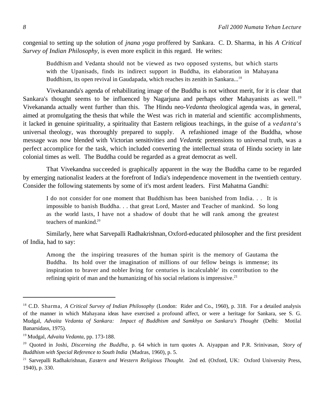congenial to setting up the solution of *jnana yoga* proffered by Sankara. C. D. Sharma, in his *A Critical Survey of Indian Philosophy,* is even more explicit in this regard. He writes:

Buddhism and Vedanta should not be viewed as two opposed systems, but which starts with the Upanisads, finds its indirect support in Buddha, its elaboration in Mahayana Buddhism, its open revival in Gaudapada, which reaches its zenith in Sankara...<sup>18</sup>

Vivekananda's agenda of rehabilitating image of the Buddha is not without merit, for it is clear that Sankara's thought seems to be influenced by Nagarjuna and perhaps other Mahayanists as well.<sup>19</sup> Vivekananda actually went further than this. The Hindu neo-*Vedanta* theological agenda was, in general, aimed at promulgating the thesis that while the West was rich in material and scientific accomplishments, it lacked in genuine spirituality, a spirituality that Eastern religious teachings, in the guise of a *vedanta*'s universal theology, was thoroughly prepared to supply. A refashioned image of the Buddha, whose message was now blended with Victorian sensitivities and *Vedant*ic pretensions to universal truth, was a perfect accomplice for the task, which included converting the intellectual strata of Hindu society in late colonial times as well. The Buddha could be regarded as a great democrat as well.

That Vivekandna succeeded is graphically apparent in the way the Buddha came to be regarded by emerging nationalist leaders at the forefront of India's independence movement in the twentieth century. Consider the following statements by some of it's most ardent leaders. First Mahatma Gandhi:

I do not consider for one moment that Buddhism has been banished from India. . . It is impossible to banish Buddha. . . that great Lord, Master and Teacher of mankind. So long as the world lasts, I have not a shadow of doubt that he will rank among the greatest teachers of mankind $20$ 

Similarly, here what Sarvepalli Radhakrishnan, Oxford-educated philosopher and the first president of India, had to say:

Among the the inspiring treasures of the human spirit is the memory of Gautama the Buddha. Its hold over the imagination of millions of our fellow beings is immense; its inspiration to braver and nobler living for centuries is incalculable' its contribution to the refining spirit of man and the humanizing of his social relations is impressive.<sup>21</sup>

<sup>18</sup> C.D. Sharma, *A Critical Survey of Indian Philosophy* (London: Rider and Co., 1960), p. 318. For a detailed analysis of the manner in which Mahayana ideas have exercised a profound affect, or were a heritage for Sankara, see S. G. Mudgal, *Advaita Vedanta of Sankara: Impact of Buddhism and Samkhya on Sankara's Thought* (Delhi: Motilal Banarsidass, 1975).

<sup>19</sup>Mudgal, *Advaita Vedanta*, pp. 173-188.

<sup>20</sup> Quoted in Joshi, *Discerning the Buddha*, p. 64 which in turn quotes A. Aiyappan and P.R. Srinivasan, *Story of Buddhism with Special Reference to South India* (Madras, 1960), p. 5.

<sup>21</sup> Sarvepalli Radhakrishnan, *Eastern and Western Religious Thought.* 2nd ed. (Oxford, UK: Oxford University Press, 1940), p. 330.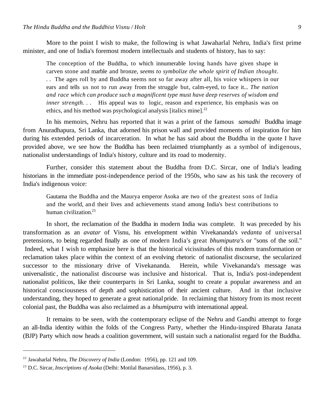More to the point I wish to make, the following is what Jawaharlal Nehru, India's first prime minister, and one of India's foremost modern intellectuals and students of history, has to say:

The conception of the Buddha, to which innumerable loving hands have given shape in carven stone and marble and bronze, *seems to symbolize the whole spirit of Indian thought. . .* The ages roll by and Buddha seems not so far away after all, his voice whispers in our ears and tells us not to run away from the struggle but, calm-eyed, to face it... *The nation and race which can produce such a magnificent type must have deep reserves of wisdom and inner strength.* . His appeal was to logic, reason and experience, his emphasis was on ethics, and his method was psychological analysis [italics mine]. $^{22}$ 

In his memoirs, Nehru has reported that it was a print of the famous *samadhi* Buddha image from Anuradhapura, Sri Lanka, that adorned his prison wall and provided moments of inspiration for him during his extended periods of incarceration. In what he has said about the Buddha in the quote I have provided above, we see how the Buddha has been reclaimed triumphantly as a symbol of indigenous, nationalist understandings of India's history, culture and its road to modernity.

Further, consider this statement about the Buddha from D.C. Sircar, one of India's leading historians in the immediate post-independence period of the 1950s, who saw as his task the recovery of India's indigenous voice:

Gautama the Buddha and the Maurya emperor Asoka are two of the greatest sons of India and the world, and their lives and achievements stand among India's best contributions to human civilization.<sup>23</sup>

In short, the reclamation of the Buddha in modern India was complete. It was preceded by his transformation as an *avatar* of Visnu, his envelopment within Vivekananda's *vedanta* of universal pretensions, to being regarded finally as one of modern India's great *bhumiputra'*s or "sons of the soil." Indeed, what I wish to emphasize here is that the historical vicissitudes of this modern transformation or reclamation takes place within the context of an evolving rhetoric of nationalist discourse, the secularized successor to the missionary drive of Vivekananda. Herein, while Vivekananda's message was universalistic , the nationalist discourse was inclusive and historical. That is, India's post-independent nationalist politicos, like their counterparts in Sri Lanka, sought to create a popular awareness and an historical consciousness of depth and sophistication of their ancient culture. And in that inclusive understanding, they hoped to generate a great national pride. In reclaiming that history from its most recent colonial past, the Buddha was also reclaimed as a *bhumiputra* with international appeal.

It remains to be seen, with the contemporary eclipse of the Nehru and Gandhi attempt to forge an all-India identity within the folds of the Congress Party, whether the Hindu-inspired Bharata Janata (BJP) Party which now heads a coalition government, will sustain such a nationalist regard for the Buddha.

<sup>22</sup> Jawaharlal Nehru, *The Discovery of India* (London: 1956), pp. 121 and 109.

<sup>23</sup> D.C. Sircar, *Inscriptions of Asoka* (Delhi: Motilal Banarsidass, 1956), p. 3.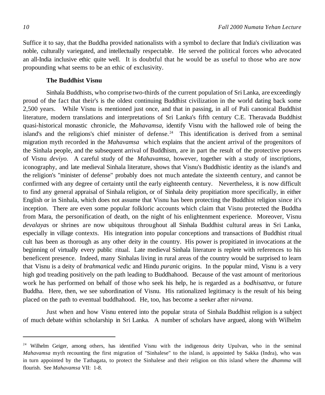Suffice it to say, that the Buddha provided nationalists with a symbol to declare that India's civilization was noble, culturally variegated, and intellectually respectable. He served the political forces who advocated an all-India inclusive ethic quite well. It is doubtful that he would be as useful to those who are now propounding what seems to be an ethic of exclusivity.

### **The Buddhist Visnu**

Sinhala Buddhists, who comprise two-thirds of the current population of Sri Lanka, are exceedingly proud of the fact that their's is the oldest continuing Buddhist civilization in the world dating back some 2,500 years. While Visnu is mentioned just once, and that in passing, in all of Pali canonical Buddhist literature, modern translations and interpretations of Sri Lanka's fifth century C.E. Theravada Buddhist quasi-historical monastic chronicle, the *Mahavamsa,* identify Visnu with the hallowed role of being the island's and the religions's chief minister of defense.<sup>24</sup> This identification is derived from a seminal migration myth recorded in the *Mahavamsa* which explains that the ancient arrival of the progenitors of the Sinhala people, and the subsequent arrival of Buddhism, are in part the result of the protective powers of Visnu *deviyo.* A careful study of the *Mahavamsa*, however, together with a study of inscriptions, iconography, and late medieval Sinhala literature, shows that Visnu's Buddhistic identity as the island's and the religion's "minister of defense" probably does not much antedate the sixteenth century, and cannot be confirmed with any degree of certainty until the early eighteenth century. Nevertheless, it is now difficult to find any general appraisal of Sinhala religion, or of Sinhala deity propitiation more specifically, in either English or in Sinhala, which does not assume that Visnu has been protecting the Buddhist religion since it's inception. There are even some popular folkloric accounts which claim that Visnu protected the Buddha from Mara, the personification of death, on the night of his enlightenment experience. Moreover, Visnu *devalaya*s or shrines are now ubiquitous throughout all Sinhala Buddhist cultural areas in Sri Lanka, especially in village contexts. His integration into popular conceptions and transactions of Buddhist ritual cult has been as thorough as any other deity in the country. His power is propitiated in invocations at the beginning of virtually every public ritual. Late medieval Sinhala literature is replete with references to his beneficent presence. Indeed, many Sinhalas living in rural areas of the country would be surprised to learn that Visnu is a deity of *brahman*ical *ved*ic and Hindu *puran*ic origins. In the popular mind, Visnu is a very high god treading positively on the path leading to Buddhahood. Because of the vast amount of meritorious work he has performed on behalf of those who seek his help, he is regarded as a *bodhisattva,* or future Buddha. Here, then, we see subordination of Visnu. His rationalized legitimacy is the result of his being placed on the path to eventual buddhahood. He, too, has become a seeker after *nirvana.*

Just when and how Visnu entered into the popular strata of Sinhala Buddhist religion is a subject of much debate within scholarship in Sri Lanka. A number of scholars have argued, along with Wilhelm

<sup>&</sup>lt;sup>24</sup> Wilhelm Geiger, among others, has identified Visnu with the indigenous deity Upulvan, who in the seminal *Mahavamsa* myth recounting the first migration of "Sinhalese" to the island, is appointed by Sakka (Indra), who was in turn appointed by the Tathagata, to protect the Sinhalese and their religion on this island where the *dhamma* will flourish. See *Mahavamsa* VII: 1-8.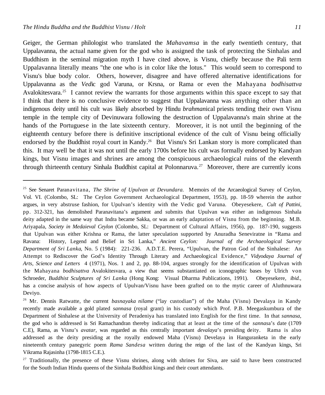Geiger, the German philologist who translated the *Mahavamsa* in the early twentieth century, that Uppalavanna, the actual name given for the god who is assigned the task of protecting the Sinhalas and Buddhism in the seminal migration myth I have cited above, is Visnu, chiefly because the Pali term Uppalavanna literally means "the one who is in color like the lotus." This would seem to correspond to Visnu's blue body color. Others, however, disagree and have offered alternative identifications for Uppalavanna as the *Ved*ic god Varuna, or Krsna, or Rama or even the Mahayana *bodhisattva* Avalokitesvara.<sup>25</sup> I cannot review the warrants for those arguments within this space except to say that I think that there is no conclusive evidence to suggest that Uppalavanna was anything other than an indigenous deity until his cult was likely absorbed by Hindu *brahman*ical priests tending their own Visnu temple in the temple city of Devinuwara following the destruction of Uppalavanna's main shrine at the hands of the Portuguese in the late sixteenth century. Moreover, it is not until the beginning of the eighteenth century before there is definitive inscriptional evidence of the cult of Visnu being officially endorsed by the Buddhist royal court in Kandy.<sup>26</sup> But Visnu's Sri Lankan story is more complicated than this. It may well be that it was not until the early 1700s before his cult was formally endorsed by Kandyan kings, but Visnu images and shrines are among the conspicuous archaeological ruins of the eleventh through thirteenth century Sinhala Buddhist capital at Polonnaruva.<sup>27</sup> Moreover, there are currently icons

<sup>25</sup> See Senaret Paranavitana, *The Shrine of Upulvan at Devundara.* Memoirs of the Arcaeological Survey of Ceylon, Vol. VI. (Colombo, SL: The Ceylon Government Archaeological Department, 1953), pp. 18-59 wherein the author argues, in very abstruse fashion, for Upulvan's identity with the Vedic god Varuna. Obeyesekere, *Cult of Pattini,* pp. 312-321, has demolished Paranavitana's argument and submits that Upulvan was either an indigenous Sinhala deity adapted in the same way that Indra became Sakka, or was an early adaptation of Visnu from the beginning. M.B. Ariyapala, *Society in Medaieval Ceylon* (Colombo, SL: Department of Cultural Affairs, 1956), pp. 187-190, suggests that Upulvan was either Krishna or Rama, the latter speculation supported by Anuradha Seneviratne in "Rama and Ravana: History, Legend and Belief in Sri Lanka," *Ancient Ceylon: Journal of the Archaeological Survey Department of Sri Lanka*, No. 5 (1984): 221-236. A.D.T.E. Perera, "Upulvan, the Patron God of the Sinhalese: An Attempt to Rediscover the God's Identity Through Literary and Archaeological Evidence," *Vidyodaya Journal of Arts, Science and Letters* 4 (1971), Nos. 1 and 2, pp. 88-104, argues strongly for the identification of Upulvan with the Mahayana *bodhisattva* Avalokitesvara, a view that seems substantiated on iconographic bases by Ulrich von Schroeder, *Buddhist Sculptures of Sri Lanka* (Hong Kong: Visual Dharma Publications, 1991). Obeyesekere, *ibid.*, has a concise analysis of how aspects of Upulvan/Visnu have been grafted on to the mytic career of Aluthnuwara Deviyo.

<sup>26</sup> Mr. Dennis Ratwatte, the current *basnayaka nilame* ("lay custodian") of the Maha (Visnu) Devalaya in Kandy recently made available a gold plated *sannasa* (royal grant) in his custody which Prof. P.B. Meegaskumbura of the Department of Sinhalese at the University of Peradeniya has translated into English for the first time. In that *sannasa*, the god who is addressed is Sri Ramachandran thereby indicating that at least at the time of the *sannas*a's date (1709 C.E), Rama, as Visnu's *avatar*, was regarded as this centrally important *devalaya*'s presiding deity. Rama is also addressed as the deity presiding at the royally endowed Maha (Visnu) Develaya in Hanguranketa in the early nineteenth century panegyric poem *Rama Sandesa* written during the reign of the last of the Kandyan kings, Sri Vikrama Rajasinha (1798-1815 C.E.).

<sup>&</sup>lt;sup>27</sup> Traditionally, the presence of these Visnu shrines, along with shrines for Siva, are said to have been constructed for the South Indian Hindu queens of the Sinhala Buddhist kings and their court attendants.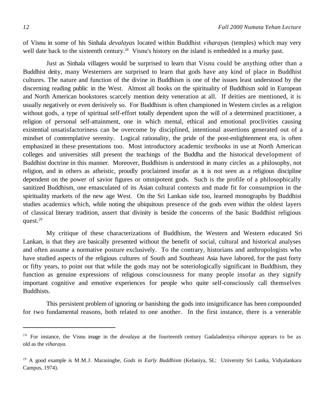of Visnu in some of his Sinhala *devalaya*s located within Buddhist *viharaya*s (temples) which may very well date back to the sixteenth century.<sup>28</sup> Visnu's history on the island is embedded in a murky past.

Just as Sinhala villagers would be surprised to learn that Visnu could be anything other than a Buddhist deity, many Westerners are surprised to learn that gods have any kind of place in Buddhist cultures. The nature and function of the divine in Buddhism is one of the issues least understood by the discerning reading public in the West. Almost all books on the spirituality of Buddhism sold in European and North American bookstores scarcely mention deity veneration at all. If deities are mentioned, it is usually negatively or even derisively so. For Buddhism is often championed in Western circles as a religion without gods, a type of spiritual self-effort totally dependent upon the will of a determined practitioner, a religion of personal self-attainment, one in which mental, ethical and emotional proclivities causing existential unsatisfactoriness can be overcome by disciplined, intentional assertions generated out of a mindset of contemplative serenity. Logical rationality, the pride of the post-enlightenment era, is often emphasized in these presentations too. Most introductory academic textbooks in use at North American colleges and universities still present the teachings of the Buddha and the historical development of Buddhist doctrine in this manner. Moreover, Buddhism is understood in many circles as a philosophy, not religion, and in others as atheistic, proudly proclaimed insofar as it is not seen as a religious discipline dependent on the power of savior figures or omnipotent gods. Such is the profile of a philosophically sanitized Buddhism, one emasculated of its Asian cultural contexts and made fit for consumption in the spirituality markets of the new age West. On the Sri Lankan side too, learned monographs by Buddhist studies academics which, while noting the ubiquitous presence of the gods even within the oldest layers of classical literary tradition, assert that divinity is beside the concerns of the basic Buddhist religious quest. $29$ 

My critique of these characterizations of Buddhism, the Western and Western educated Sri Lankan, is that they are basically presented without the benefit of social, cultural and historical analyses and often assume a normative posture exclusively. To the contrary, historians and anthropologists who have studied aspects of the religious cultures of South and Southeast Asia have labored, for the past forty or fifty years, to point out that while the gods may not be soteriologically significant in Buddhism, they function as genuine expressions of religious consciousness for many people insofar as they signify important cognitive and emotive experiences for people who quite self-consciously call themselves Buddhists.

This persistent problem of ignoring or banishing the gods into insignificance has been compounded for two fundamental reasons, both related to one another. In the first instance, there is a venerable

<sup>&</sup>lt;sup>28</sup> For instance, the Visnu image in the *devalaya* at the fourteenth century Gadaladeniya *viharaya* appears to be as old as the *viharaya*.

<sup>29</sup> A good example is M.M.J. Marasinghe, *Gods in Early Buddhism* (Kelaniya, SL: University Sri Lanka, Vidyalankara Campus, 1974).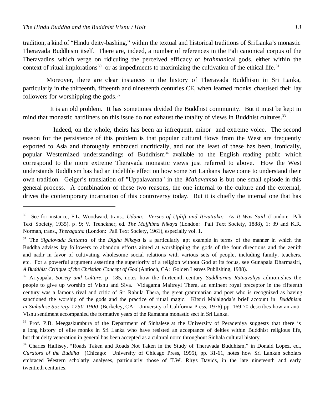tradition, a kind of "Hindu deity-bashing," within the textual and historical traditions of SriLanka's monastic Theravada Buddhism itself. There are, indeed, a number of references in the Pali canonical corpus of the Theravadins which verge on ridiculing the perceived efficacy of *brahman*ical gods, either within the context of ritual implorations $30$  or as impediments to maximizing the cultivation of the ethical life.<sup>31</sup>

Moreover, there are clear instances in the history of Theravada Buddhism in Sri Lanka, particularly in the thirteenth, fifteenth and nineteenth centuries CE, when learned monks chastised their lay followers for worshipping the gods. $32$ 

 It is an old problem. It has sometimes divided the Buddhist community. But it must be kept in mind that monastic hardliners on this issue do not exhaust the totality of views in Buddhist cultures.<sup>33</sup>

 Indeed, on the whole, theirs has been an infrequent, minor and extreme voice. The second reason for the persistence of this problem is that popular cultural flows from the West are frequently exported to Asia and thoroughly embraced uncritically, and not the least of these has been, ironically, popular Westernized understandings of Buddhism<sup>34</sup> available to the English reading public which correspond to the more extreme Theravada monastic views just referred to above. How the West understands Buddhism has had an indelible effect on how some Sri Lankans have come to understand their own tradition. Geiger's translation of "Uppalavanna" in the *Mahavamsa* is but one small episode in this general process. A combination of these two reasons, the one internal to the culture and the external, drives the contemporary incarnation of this controversy today. But it is chiefly the internal one that has

<sup>30</sup> See for instance, F.L. Woodward, trans., *Udana: Verses of Uplift and Itivuttaka: As It Was Said* (London: Pali Text Society, 1935), p. 9; V. Trenckner, ed. *The Majjhima Nikaya* (London: Pali Text Society, 1888), 1: 39 and K.R. Norman, trans., *Theragatha* (London: Pali Text Society, 1961), especially vol. 1.

<sup>31</sup> The *Sigalovada Suttanta* of the *Digha Nikaya* is a particularly apt example in terms of the manner in which the Buddha advises lay followers to abandon efforts aimed at worshipping the gods of the four directions and the zenith and nadir in favor of cultivating wholesome social relations with various sets of people, including family, teachers, etc. For a powerful argument asserting the superiority of a religion without God at its focus, see Gunapala Dharmasiri, *A Buddhist Critique of the Christian Concept of God* (Antioch, CA: Golden Leaves Publishing, 1988).

<sup>32</sup> Ariyapala, *Society and Culture,* p. 185, notes how the thirteenth century *Saddharma Ratnavaliya* admonishes the people to give up worship of Visnu and Siva. Vidagama Maitreyi Thera, an eminent royal preceptor in the fifteenth century was a famous rival and critic of Sri Rahula Thera, the great grammarian and poet who is recognized as having sanctioned the worship of the gods and the practice of ritual magic. Kitsiri Malalgoda's brief account in *Buddhism in Sinhalese Society 1750-1900* (Berkeley, CA: University of California Press, 1976) pp. 169-70 describes how an anti-Visnu sentiment accompanied the formative years of the Ramanna monastic sect in Sri Lanka.

<sup>&</sup>lt;sup>33</sup> Prof. P.B. Meegaskumbura of the Department of Sinhalese at the University of Peradeniya suggests that there is a long history of elite monks in Sri Lanka who have resisted an acceptance of deities within Buddhist religious life, but that deity veneration in general has been accepted as a cultural norm throughout Sinhala cultural history.

<sup>&</sup>lt;sup>34</sup> Charles Hallisey, "Roads Taken and Roads Not Taken in the Study of Theravada Buddhism," in Donald Lopez, ed., *Curators of the Buddha* (Chicago: University of Chicago Press, 1995), pp. 31-61, notes how Sri Lankan scholars embraced Western scholarly analyses, particularly those of T.W. Rhys Davids, in the late nineteenth and early twentieth centuries.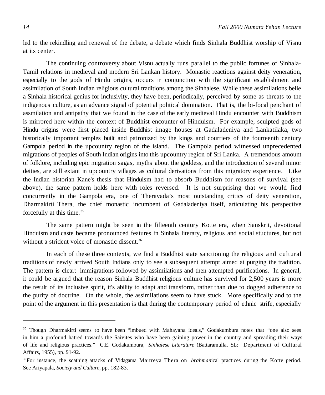led to the rekindling and renewal of the debate, a debate which finds Sinhala Buddhist worship of Visnu at its center.

The continuing controversy about Visnu actually runs parallel to the public fortunes of Sinhala-Tamil relations in medieval and modern Sri Lankan history. Monastic reactions against deity veneration, especially to the gods of Hindu origins, occurs in conjunction with the significant establishment and assimilation of South Indian religious cultural traditions among the Sinhalese. While these assimilations belie a Sinhala historical genius for inclusivity, they have been, periodically, perceived by some as threats to the indigenous culture, as an advance signal of potential political domination. That is, the bi-focal penchant of assmilation and antipathy that we found in the case of the early medieval Hindu encounter with Buddhism is mirrored here within the context of Buddhist encounter of Hinduism. For example, sculpted gods of Hindu origins were first placed inside Buddhist image houses at Gadaladeniya and Lankatilaka, two historically important temples built and patronized by the kings and courtiers of the fourteenth century Gampola period in the upcountry region of the island. The Gampola period witnessed unprecedented migrations of peoples of South Indian origins into this upcountry region of Sri Lanka. A tremendous amount of folklore, including epic migration sagas, myths about the goddess, and the introduction of several minor deities, are still extant in upcountry villages as cultural derivations from this migratory experience. Like the Indian historian Kane's thesis that Hinduism had to absorb Buddhism for reasons of survival (see above), the same pattern holds here with roles reversed. It is not surprising that we would find concurrently in the Gampola era, one of Theravada's most outstanding critics of deity veneration, Dharmakirti Thera, the chief monastic incumbent of Gadaladeniya itself, articulating his perspective forcefully at this time.<sup>35</sup>

The same pattern might be seen in the fifteenth century Kotte era, when Sanskrit, devotional Hinduism and caste became pronounced features in Sinhala literary, religious and social stuctures, but not without a strident voice of monastic dissent.<sup>36</sup>

In each of these three contexts, we find a Buddhist state sanctioning the religious and cultural traditions of newly arrived South Indians only to see a subsequent attempt aimed at purging the tradition. The pattern is clear: immigrations followed by assimilations and then attempted purifications. In general, it could be argued that the reason Sinhala Buddhist religious culture has survived for 2,500 years is more the result of its inclusive spirit, it's ability to adapt and transform, rather than due to dogged adherence to the purity of doctrine. On the whole, the assimilations seem to have stuck. More specifically and to the point of the argument in this presentation is that during the contemporary period of ethnic strife, especially

<sup>&</sup>lt;sup>35</sup> Though Dharmakirti seems to have been "imbued with Mahayana ideals," Godakumbura notes that "one also sees in him a profound hatred towards the Saivites who have been gaining power in the country and spreading their ways of life and religious practices." C.E. Godakumbura, *Sinhalese Literature* (Battaramulla, SL: Department of Cultural Affairs, 1955), pp. 91-92.

<sup>&</sup>lt;sup>36</sup>For instance, the scathing attacks of Vidagama Maitreya Thera on *brahmanical* practices during the Kotte period. See Ariyapala, *Society and Culture,* pp. 182-83.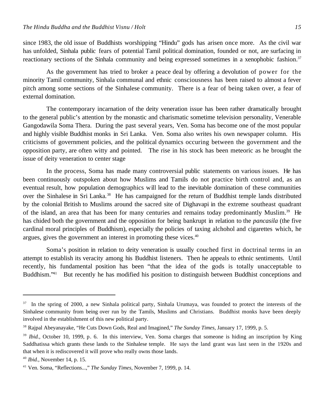since 1983, the old issue of Buddhists worshipping "Hindu" gods has arisen once more. As the civil war has unfolded, Sinhala public fears of potential Tamil political domination, founded or not, are surfacing in reactionary sections of the Sinhala community and being expressed sometimes in a xenophobic fashion.<sup>37</sup>

As the government has tried to broker a peace deal by offering a devolution of power for the minority Tamil community, Sinhala communal and ethnic consciousness has been raised to almost a fever pitch among some sections of the Sinhalese community. There is a fear of being taken over, a fear of external domination.

The contemporary incarnation of the deity veneration issue has been rather dramatically brought to the general public's attention by the monastic and charismatic sometime television personality, Venerable Gangodawila Soma Thera. During the past several years, Ven. Soma has become one of the most popular and highly visible Buddhist monks in Sri Lanka. Ven. Soma also writes his own newspaper column. His criticisms of government policies, and the political dynamics occuring between the government and the opposition party, are often witty and pointed. The rise in his stock has been meteoric as he brought the issue of deity veneration to center stage

In the process, Soma has made many controversial public statements on various issues. He has been continuously outspoken about how Muslims and Tamils do not practice birth control and, as an eventual result, how population demographics will lead to the inevitable domination of these communities over the Sinhalese in Sri Lanka.<sup>38</sup> He has campaigned for the return of Buddhist temple lands distributed by the colonial British to Muslims around the sacred site of Dighavapi in the extreme southeast quadrant of the island, an area that has been for many centuries and remains today predominantly Muslim.<sup>39</sup> He has chided both the government and the opposition for being bankrupt in relation to the *pancasila* (the five cardinal moral principles of Buddhism), especially the policies of taxing alchohol and cigarettes which, he argues, gives the government an interest in promoting these vices.<sup>40</sup>

Soma's position in relation to deity veneration is usually couched first in doctrinal terms in an attempt to establish its veracity among his Buddhist listeners. Then he appeals to ethnic sentiments. Until recently, his fundamental position has been "that the idea of the gods is totally unacceptable to Buddhism."41 But recently he has modified his position to distinguish between Buddhist conceptions and

<sup>37</sup> In the spring of 2000, a new Sinhala political party, Sinhala Urumaya, was founded to protect the interests of the Sinhalese community from being over run by the Tamils, Muslims and Christians. Buddhist monks have been deeply involved in the establishment of this new political party.

<sup>38</sup> Rajpal Abeyanayake, "He Cuts Down Gods, Real and Imagined," *The Sunday Times,* January 17, 1999, p. 5.

<sup>&</sup>lt;sup>39</sup> *Ibid.*, October 10, 1999, p. 6. In this interview, Ven. Soma charges that someone is hiding an inscription by King Saddhatissa which grants these lands to the Sinhalese temple. He says the land grant was last seen in the 1920s and that when it is rediscovered it will prove who really owns those lands.

<sup>40</sup> *Ibid.,* November 14, p. 15.

<sup>41</sup> Ven. Soma, "Reflections...," *The Sunday Times,* November 7, 1999, p. 14.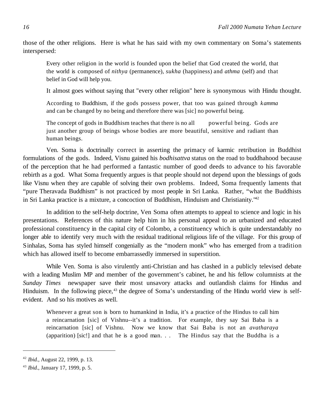those of the other religions. Here is what he has said with my own commentary on Soma's statements interspersed:

Every other religion in the world is founded upon the belief that God created the world, that the world is composed of *nithya* (permanence), *sukha* (happiness) and *athma* (self) and that belief in God will help you.

It almost goes without saying that "every other religion" here is synonymous with Hindu thought.

According to Buddhism, if the gods possess power, that too was gained through *kamma* and can be changed by no being and therefore there was [sic] no powerful being.

The concept of gods in Buddhism teaches that there is no all powerful being. Gods are just another group of beings whose bodies are more beautiful, sensitive and radiant than human beings.

Ven. Soma is doctrinally correct in asserting the primacy of karmic retribution in Buddhist formulations of the gods. Indeed, Visnu gained his *bodhisattva* status on the road to buddhahood because of the perception that he had performed a fantastic number of good deeds to advance to his favorable rebirth as a god. What Soma frequently argues is that people should not depend upon the blessings of gods like Visnu when they are capable of solving their own problems. Indeed, Soma frequently laments that "pure Theravada Buddhism" is not practiced by most people in Sri Lanka. Rather, "what the Buddhists in Sri Lanka practice is a mixture, a concoction of Buddhism, Hinduism and Christianity."<sup>42</sup>

In addition to the self-help doctrine, Ven Soma often attempts to appeal to science and logic in his presentations. References of this nature help him in his personal appeal to an urbanized and educated professional constituency in the capital city of Colombo, a constituency which is quite understandably no longer able to identify very much with the residual traditional religious life of the village. For this group of Sinhalas, Soma has styled himself congenially as the "modern monk" who has emerged from a tradition which has allowed itself to become embarrassedly immersed in superstition.

While Ven. Soma is also virulently anti-Christian and has clashed in a publicly televised debate with a leading Muslim MP and member of the government's cabinet, he and his fellow columnists at the *Sunday Times* newspaper save their most unsavory attacks and outlandish claims for Hindus and Hinduism. In the following piece,<sup>43</sup> the degree of Soma's understanding of the Hindu world view is selfevident. And so his motives as well.

Whenever a great son is born to humankind in India, it's a practice of the Hindus to call him a reincarnation [sic] of Vishnu--it's a tradition. For example, they say Sai Baba is a reincarnation [sic] of Vishnu. Now we know that Sai Baba is not an *avatharaya* (apparition) [sic!] and that he is a good man. . . The Hindus say that the Buddha is a

<sup>42</sup> *Ibid.,* August 22, 1999, p. 13.

<sup>43</sup> *Ibid.*, January 17, 1999, p. 5.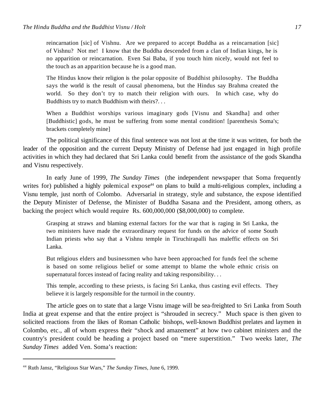reincarnation [sic] of Vishnu. Are we prepared to accept Buddha as a reincarnation [sic] of Vishnu? Not me! I know that the Buddha descended from a clan of Indian kings, he is no apparition or reincarnation. Even Sai Baba, if you touch him nicely, would not feel to the touch as an apparition because he is a good man.

The Hindus know their religion is the polar opposite of Buddhist philosophy. The Buddha says the world is the result of causal phenomena, but the Hindus say Brahma created the world. So they don't try to match their religion with ours. In which case, why do Buddhists try to match Buddhism with theirs?. . .

When a Buddhist worships various imaginary gods [Visnu and Skandha] and other [Buddhistic] gods, he must be suffering from some mental condition! [parenthesis Soma's; brackets completely mine]

The political significance of this final sentence was not lost at the time it was written, for both the leader of the opposition and the current Deputy Ministry of Defense had just engaged in high profile activities in which they had declared that Sri Lanka could benefit from the assistance of the gods Skandha and Visnu respectively.

In early June of 1999, *The Sunday Times* (the independent newspaper that Soma frequently writes for) published a highly polemical expose<sup>44</sup> on plans to build a multi-religious complex, including a Visnu temple, just north of Colombo. Adversarial in strategy, style and substance, the expose identified the Deputy Minister of Defense, the Minister of Buddha Sasana and the President, among others, as backing the project which would require Rs. 600,000,000 (\$8,000,000) to complete.

Grasping at straws and blaming external factors for the war that is raging in Sri Lanka, the two ministers have made the extraordinary request for funds on the advice of some South Indian priests who say that a Vishnu temple in Tiruchirapalli has maleffic effects on Sri Lanka.

But religious elders and businessmen who have been approached for funds feel the scheme is based on some religious belief or some attempt to blame the whole ethnic crisis on supernatural forces instead of facing reality and taking responsibility. . .

This temple, according to these priests, is facing Sri Lanka, thus casting evil effects. They believe it is largely responsible for the turmoil in the country.

The article goes on to state that a large Visnu image will be sea-freighted to Sri Lanka from South India at great expense and that the entire project is "shrouded in secrecy." Much space is then given to solicited reactions from the likes of Roman Catholic bishops, well-known Buddhist prelates and laymen in Colombo, etc., all of whom express their "shock and amazement" at how two cabinet ministers and the country's president could be heading a project based on "mere superstition." Two weeks later, *The Sunday Times* added Ven. Soma's reaction:

<sup>44</sup> Ruth Jansz, "Religious Star Wars," *The Sunday Times,* June 6, 1999.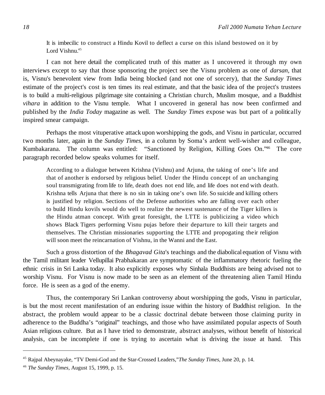It is imbecilic to construct a Hindu Kovil to deflect a curse on this island bestowed on it by Lord Vishnu.<sup>45</sup>

I can not here detail the complicated truth of this matter as I uncovered it through my own interviews except to say that those sponsoring the project see the Visnu problem as one of *darsan,* that is, Visnu's benevolent view from India being blocked (and not one of sorcery), that the *Sunday Times* estimate of the project's cost is ten times its real estimate, and that the basic idea of the project's trustees is to build a multi-religious pilgrimage site containing a Christian church, Muslim mosque, and a Buddhist *vihara* in addition to the Visnu temple. What I uncovered in general has now been confirmed and published by the *India Today* magazine as well. The *Sunday Times* expose was but part of a politically inspired smear campaign.

Perhaps the most vituperative attack upon worshipping the gods, and Visnu in particular, occurred two months later, again in the *Sunday Times,* in a column by Soma's ardent well-wisher and colleague, Kumbakarana. The column was entitled: "Sanctioned by Religion, Killing Goes On."<sup>46</sup> The core paragraph recorded below speaks volumes for itself.

According to a dialogue between Krishna (Vishnu) and Arjuna, the taking of one's life and that of another is endorsed by religious belief. Under the Hindu concept of an unchanging soul transmigrating from life to life, death does not end life, and life does not end with death. Krishna tells Arjuna that there is no sin in taking one's own life. So suicide and killing others is justified by religion. Sections of the Defense authorities who are falling over each other to build Hindu kovils would do well to realize the newest sustenance of the Tiger killers is the Hindu atman concept. With great foresight, the LTTE is publicizing a video which shows Black Tigers performing Visnu pujas before their departure to kill their targets and themselves. The Christian missionaries supporting the LTTE and propogating their religion will soon meet the reincarnation of Vishnu, in the Wanni and the East.

Such a gross distortion of the *Bhagavad Gita*'s teachings and the diabolical equation of Visnu with the Tamil militant leader Vellupillai Prabhakaran are symptomatic of the inflammatory rhetoric fueling the ethnic crisis in Sri Lanka today. It also explicitly exposes why Sinhala Buddhists are being advised not to worship Visnu. For Visnu is now made to be seen as an element of the threatening alien Tamil Hindu force. He is seen as a god of the enemy.

Thus, the contemporary Sri Lankan controversy about worshipping the gods, Visnu in particular, is but the most recent manifestation of an enduring issue within the history of Buddhist religion. In the abstract, the problem would appear to be a classic doctrinal debate between those claiming purity in adherence to the Buddha's "original" teachings, and those who have assimilated popular aspects of South Asian religious culture. But as I have tried to demonstrate, abstract analyses, without benefit of historical analysis, can be incomplete if one is trying to ascertain what is driving the issue at hand. This

<sup>45</sup> Rajpal Abeynayake, "TV Demi-God and the Star-Crossed Leaders,"*The Sunday Times,* June 20, p. 14.

<sup>46</sup> *The Sunday Times,* August 15, 1999, p. 15.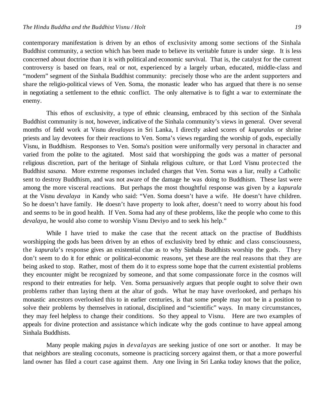contemporary manifestation is driven by an ethos of exclusivity among some sections of the Sinhala Buddhist community, a section which has been made to believe its veritable future is under siege. It is less concerned about doctrine than it is with political and economic survival. That is, the catalyst for the current controversy is based on fears, real or not, experienced by a largely urban, educated, middle-class and "modern" segment of the Sinhala Buddhist community: precisely those who are the ardent supporters and share the religio-political views of Ven. Soma, the monastic leader who has argued that there is no sense in negotiating a settlement to the ethnic conflict. The only alternative is to fight a war to exterminate the enemy.

This ethos of exclusivity, a type of ethnic cleansing, embraced by this section of the Sinhala Buddhist community is not, however, indicative of the Sinhala community's views in general. Over several months of field work at Visnu *devalaya*s in Sri Lanka, I directly asked scores of *kapurala*s or shrine priests and lay devotees for their reactions to Ven. Soma's views regarding the worship of gods, especially Visnu, in Buddhism. Responses to Ven. Soma's position were uniformally very personal in character and varied from the polite to the agitated. Most said that worshipping the gods was a matter of personal religious discretion, part of the heritage of Sinhala religious culture, or that Lord Visnu protected the Buddhist *sasana*.More extreme responses included charges that Ven. Soma was a liar, really a Catholic sent to destroy Buddhism, and was not aware of the damage he was doing to Buddhism. These last were among the more visceral reactions. But perhaps the most thoughtful response was given by a *kapurala* at the Visnu *devalaya* in Kandy who said: "Ven. Soma doesn't have a wife. He doesn't have children. So he doesn't have family. He doesn't have property to look after, doesn't need to worry about his food and seems to be in good health. If Ven. Soma had any of these problems, like the people who come to this *devalaya*, he would also come to worship Visnu Deviyo and to seek his help."

While I have tried to make the case that the recent attack on the practise of Buddhists worshipping the gods has been driven by an ethos of exclusivity bred by ethnic and class consciousness, the *kapurala*'s response gives an existential clue as to why Sinhala Buddhists worship the gods. They don't seem to do it for ethnic or political-economic reasons, yet these are the real reasons that they are being asked to stop. Rather, most of them do it to express some hope that the current existential problems they encounter might be recognized by someone, and that some compassionate force in the cosmos will respond to their entreaties for help. Ven. Soma persuasively argues that people ought to solve their own problems rather than laying them at the altar of gods. What he may have overlooked, and perhaps his monastic ancestors overlooked this to in earlier centuries, is that some people may not be in a position to solve their problems by themselves in rational, disciplined and "scientific" ways. In many circumstances, they may feel helpless to change their conditions. So they appeal to Visnu. Here are two examples of appeals for divine protection and assistance which indicate why the gods continue to have appeal among Sinhala Buddhists.

Many people making *puja*s in *devalaya*s are seeking justice of one sort or another. It may be that neighbors are stealing coconuts, someone is practicing sorcery against them, or that a more powerful land owner has filed a court case against them. Any one living in Sri Lanka today knows that the police,